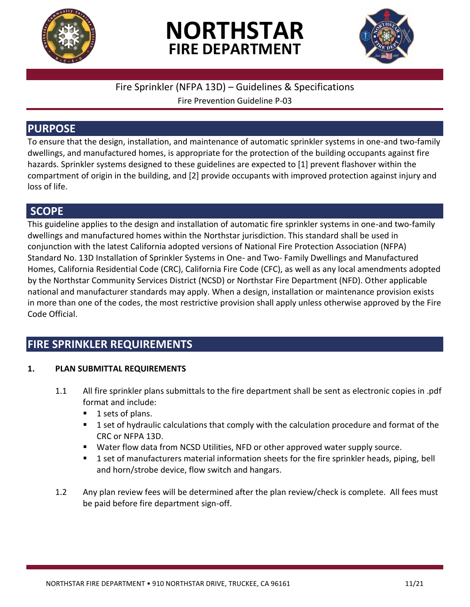

# **NORTHSTAR FIRE DEPARTMENT**



### Fire Sprinkler (NFPA 13D) – Guidelines & Specifications

Fire Prevention Guideline P-03

## **PURPOSE**

To ensure that the design, installation, and maintenance of automatic sprinkler systems in one-and two-family dwellings, and manufactured homes, is appropriate for the protection of the building occupants against fire hazards. Sprinkler systems designed to these guidelines are expected to [1] prevent flashover within the compartment of origin in the building, and [2] provide occupants with improved protection against injury and loss of life.

### **SCOPE**

This guideline applies to the design and installation of automatic fire sprinkler systems in one-and two-family dwellings and manufactured homes within the Northstar jurisdiction. This standard shall be used in conjunction with the latest California adopted versions of National Fire Protection Association (NFPA) Standard No. 13D Installation of Sprinkler Systems in One- and Two- Family Dwellings and Manufactured Homes, California Residential Code (CRC), California Fire Code (CFC), as well as any local amendments adopted by the Northstar Community Services District (NCSD) or Northstar Fire Department (NFD). Other applicable national and manufacturer standards may apply. When a design, installation or maintenance provision exists in more than one of the codes, the most restrictive provision shall apply unless otherwise approved by the Fire Code Official.

# **FIRE SPRINKLER REQUIREMENTS**

### **1. PLAN SUBMITTAL REQUIREMENTS**

- 1.1 All fire sprinkler plans submittals to the fire department shall be sent as electronic copies in .pdf format and include:
	- $\blacksquare$  1 sets of plans.
	- **1** set of hydraulic calculations that comply with the calculation procedure and format of the CRC or NFPA 13D.
	- Water flow data from NCSD Utilities, NFD or other approved water supply source.
	- **1** set of manufacturers material information sheets for the fire sprinkler heads, piping, bell and horn/strobe device, flow switch and hangars.
- 1.2 Any plan review fees will be determined after the plan review/check is complete. All fees must be paid before fire department sign-off.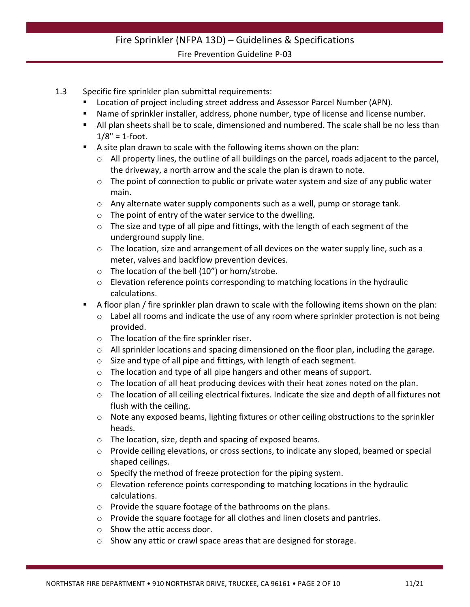- 1.3 Specific fire sprinkler plan submittal requirements:
	- Location of project including street address and Assessor Parcel Number (APN).
	- Name of sprinkler installer, address, phone number, type of license and license number.
	- All plan sheets shall be to scale, dimensioned and numbered. The scale shall be no less than  $1/8" = 1$ -foot.
	- A site plan drawn to scale with the following items shown on the plan:
		- $\circ$  All property lines, the outline of all buildings on the parcel, roads adjacent to the parcel, the driveway, a north arrow and the scale the plan is drawn to note.
		- o The point of connection to public or private water system and size of any public water main.
		- $\circ$  Any alternate water supply components such as a well, pump or storage tank.
		- o The point of entry of the water service to the dwelling.
		- $\circ$  The size and type of all pipe and fittings, with the length of each segment of the underground supply line.
		- o The location, size and arrangement of all devices on the water supply line, such as a meter, valves and backflow prevention devices.
		- o The location of the bell (10") or horn/strobe.
		- o Elevation reference points corresponding to matching locations in the hydraulic calculations.
	- A floor plan / fire sprinkler plan drawn to scale with the following items shown on the plan:
		- o Label all rooms and indicate the use of any room where sprinkler protection is not being provided.
		- o The location of the fire sprinkler riser.
		- o All sprinkler locations and spacing dimensioned on the floor plan, including the garage.
		- o Size and type of all pipe and fittings, with length of each segment.
		- o The location and type of all pipe hangers and other means of support.
		- o The location of all heat producing devices with their heat zones noted on the plan.
		- $\circ$  The location of all ceiling electrical fixtures. Indicate the size and depth of all fixtures not flush with the ceiling.
		- o Note any exposed beams, lighting fixtures or other ceiling obstructions to the sprinkler heads.
		- o The location, size, depth and spacing of exposed beams.
		- o Provide ceiling elevations, or cross sections, to indicate any sloped, beamed or special shaped ceilings.
		- o Specify the method of freeze protection for the piping system.
		- o Elevation reference points corresponding to matching locations in the hydraulic calculations.
		- o Provide the square footage of the bathrooms on the plans.
		- o Provide the square footage for all clothes and linen closets and pantries.
		- o Show the attic access door.
		- o Show any attic or crawl space areas that are designed for storage.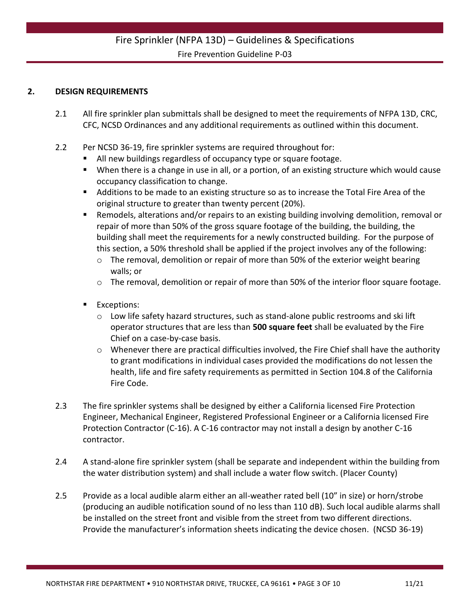#### **2. DESIGN REQUIREMENTS**

- 2.1 All fire sprinkler plan submittals shall be designed to meet the requirements of NFPA 13D, CRC, CFC, NCSD Ordinances and any additional requirements as outlined within this document.
- 2.2 Per NCSD 36-19, fire sprinkler systems are required throughout for:
	- All new buildings regardless of occupancy type or square footage.
	- When there is a change in use in all, or a portion, of an existing structure which would cause occupancy classification to change.
	- Additions to be made to an existing structure so as to increase the Total Fire Area of the original structure to greater than twenty percent (20%).
	- Remodels, alterations and/or repairs to an existing building involving demolition, removal or repair of more than 50% of the gross square footage of the building, the building, the building shall meet the requirements for a newly constructed building. For the purpose of this section, a 50% threshold shall be applied if the project involves any of the following:
		- $\circ$  The removal, demolition or repair of more than 50% of the exterior weight bearing walls; or
		- $\circ$  The removal, demolition or repair of more than 50% of the interior floor square footage.
	- **Exceptions:** 
		- o Low life safety hazard structures, such as stand-alone public restrooms and ski lift operator structures that are less than **500 square feet** shall be evaluated by the Fire Chief on a case-by-case basis.
		- o Whenever there are practical difficulties involved, the Fire Chief shall have the authority to grant modifications in individual cases provided the modifications do not lessen the health, life and fire safety requirements as permitted in Section 104.8 of the California Fire Code.
- 2.3 The fire sprinkler systems shall be designed by either a California licensed Fire Protection Engineer, Mechanical Engineer, Registered Professional Engineer or a California licensed Fire Protection Contractor (C-16). A C-16 contractor may not install a design by another C-16 contractor.
- 2.4 A stand-alone fire sprinkler system (shall be separate and independent within the building from the water distribution system) and shall include a water flow switch. (Placer County)
- 2.5 Provide as a local audible alarm either an all-weather rated bell (10" in size) or horn/strobe (producing an audible notification sound of no less than 110 dB). Such local audible alarms shall be installed on the street front and visible from the street from two different directions. Provide the manufacturer's information sheets indicating the device chosen. (NCSD 36-19)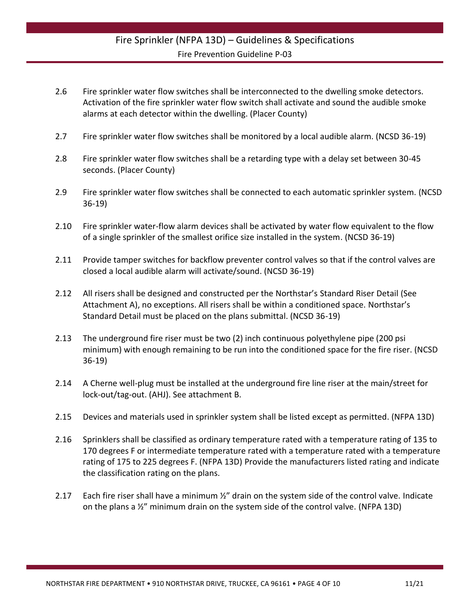- 2.6 Fire sprinkler water flow switches shall be interconnected to the dwelling smoke detectors. Activation of the fire sprinkler water flow switch shall activate and sound the audible smoke alarms at each detector within the dwelling. (Placer County)
- 2.7 Fire sprinkler water flow switches shall be monitored by a local audible alarm. (NCSD 36-19)
- 2.8 Fire sprinkler water flow switches shall be a retarding type with a delay set between 30-45 seconds. (Placer County)
- 2.9 Fire sprinkler water flow switches shall be connected to each automatic sprinkler system. (NCSD 36-19)
- 2.10 Fire sprinkler water-flow alarm devices shall be activated by water flow equivalent to the flow of a single sprinkler of the smallest orifice size installed in the system. (NCSD 36-19)
- 2.11 Provide tamper switches for backflow preventer control valves so that if the control valves are closed a local audible alarm will activate/sound. (NCSD 36-19)
- 2.12 All risers shall be designed and constructed per the Northstar's Standard Riser Detail (See Attachment A), no exceptions. All risers shall be within a conditioned space. Northstar's Standard Detail must be placed on the plans submittal. (NCSD 36-19)
- 2.13 The underground fire riser must be two (2) inch continuous polyethylene pipe (200 psi minimum) with enough remaining to be run into the conditioned space for the fire riser. (NCSD 36-19)
- 2.14 A Cherne well-plug must be installed at the underground fire line riser at the main/street for lock-out/tag-out. (AHJ). See attachment B.
- 2.15 Devices and materials used in sprinkler system shall be listed except as permitted. (NFPA 13D)
- 2.16 Sprinklers shall be classified as ordinary temperature rated with a temperature rating of 135 to 170 degrees F or intermediate temperature rated with a temperature rated with a temperature rating of 175 to 225 degrees F. (NFPA 13D) Provide the manufacturers listed rating and indicate the classification rating on the plans.
- 2.17 Each fire riser shall have a minimum  $\frac{1}{2}$ " drain on the system side of the control valve. Indicate on the plans a ½" minimum drain on the system side of the control valve. (NFPA 13D)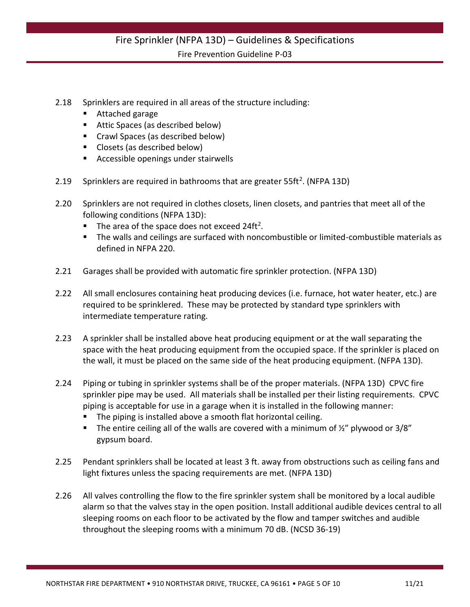- 2.18 Sprinklers are required in all areas of the structure including:
	- Attached garage
	- Attic Spaces (as described below)
	- Crawl Spaces (as described below)
	- **Closets (as described below)**
	- **Accessible openings under stairwells**
- 2.19 Sprinklers are required in bathrooms that are greater  $55ft^2$ . (NFPA 13D)
- 2.20 Sprinklers are not required in clothes closets, linen closets, and pantries that meet all of the following conditions (NFPA 13D):
	- The area of the space does not exceed 24ft<sup>2</sup>.
	- The walls and ceilings are surfaced with noncombustible or limited-combustible materials as defined in NFPA 220.
- 2.21 Garages shall be provided with automatic fire sprinkler protection. (NFPA 13D)
- 2.22 All small enclosures containing heat producing devices (i.e. furnace, hot water heater, etc.) are required to be sprinklered. These may be protected by standard type sprinklers with intermediate temperature rating.
- 2.23 A sprinkler shall be installed above heat producing equipment or at the wall separating the space with the heat producing equipment from the occupied space. If the sprinkler is placed on the wall, it must be placed on the same side of the heat producing equipment. (NFPA 13D).
- 2.24 Piping or tubing in sprinkler systems shall be of the proper materials. (NFPA 13D) CPVC fire sprinkler pipe may be used. All materials shall be installed per their listing requirements. CPVC piping is acceptable for use in a garage when it is installed in the following manner:
	- **The piping is installed above a smooth flat horizontal ceiling.**
	- The entire ceiling all of the walls are covered with a minimum of  $\frac{y}{x}$  plywood or 3/8" gypsum board.
- 2.25 Pendant sprinklers shall be located at least 3 ft. away from obstructions such as ceiling fans and light fixtures unless the spacing requirements are met. (NFPA 13D)
- 2.26 All valves controlling the flow to the fire sprinkler system shall be monitored by a local audible alarm so that the valves stay in the open position. Install additional audible devices central to all sleeping rooms on each floor to be activated by the flow and tamper switches and audible throughout the sleeping rooms with a minimum 70 dB. (NCSD 36-19)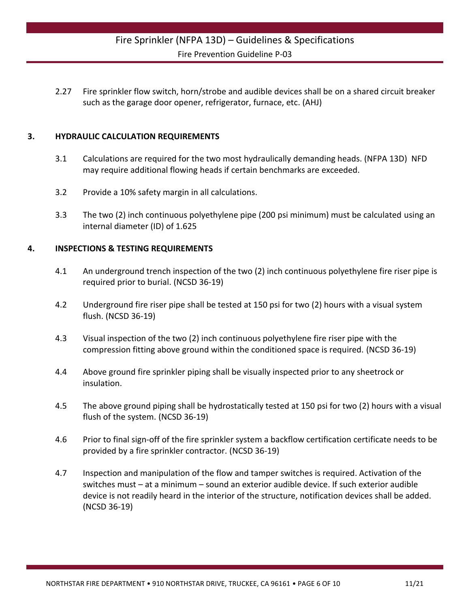2.27 Fire sprinkler flow switch, horn/strobe and audible devices shall be on a shared circuit breaker such as the garage door opener, refrigerator, furnace, etc. (AHJ)

#### **3. HYDRAULIC CALCULATION REQUIREMENTS**

- 3.1 Calculations are required for the two most hydraulically demanding heads. (NFPA 13D) NFD may require additional flowing heads if certain benchmarks are exceeded.
- 3.2 Provide a 10% safety margin in all calculations.
- 3.3 The two (2) inch continuous polyethylene pipe (200 psi minimum) must be calculated using an internal diameter (ID) of 1.625

#### **4. INSPECTIONS & TESTING REQUIREMENTS**

- 4.1 An underground trench inspection of the two (2) inch continuous polyethylene fire riser pipe is required prior to burial. (NCSD 36-19)
- 4.2 Underground fire riser pipe shall be tested at 150 psi for two (2) hours with a visual system flush. (NCSD 36-19)
- 4.3 Visual inspection of the two (2) inch continuous polyethylene fire riser pipe with the compression fitting above ground within the conditioned space is required. (NCSD 36-19)
- 4.4 Above ground fire sprinkler piping shall be visually inspected prior to any sheetrock or insulation.
- 4.5 The above ground piping shall be hydrostatically tested at 150 psi for two (2) hours with a visual flush of the system. (NCSD 36-19)
- 4.6 Prior to final sign-off of the fire sprinkler system a backflow certification certificate needs to be provided by a fire sprinkler contractor. (NCSD 36-19)
- 4.7 Inspection and manipulation of the flow and tamper switches is required. Activation of the switches must – at a minimum – sound an exterior audible device. If such exterior audible device is not readily heard in the interior of the structure, notification devices shall be added. (NCSD 36-19)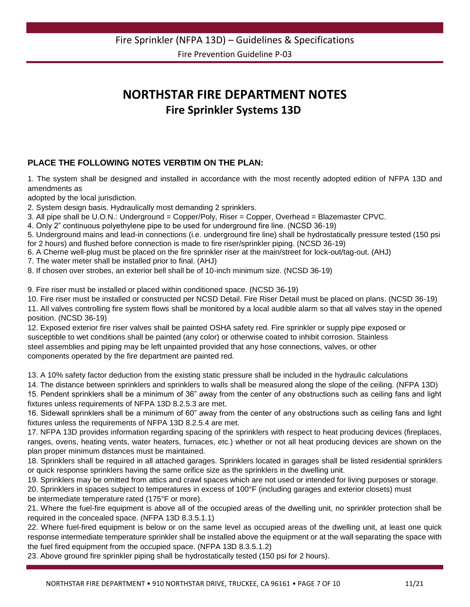# **NORTHSTAR FIRE DEPARTMENT NOTES Fire Sprinkler Systems 13D**

#### **PLACE THE FOLLOWING NOTES VERBTIM ON THE PLAN:**

1. The system shall be designed and installed in accordance with the most recently adopted edition of NFPA 13D and amendments as

adopted by the local jurisdiction.

2. System design basis. Hydraulically most demanding 2 sprinklers.

3. All pipe shall be U.O.N.: Underground = Copper/Poly, Riser = Copper, Overhead = Blazemaster CPVC.

4. Only 2" continuous polyethylene pipe to be used for underground fire line. (NCSD 36-19)

5. Underground mains and lead-in connections (i.e. underground fire line) shall be hydrostatically pressure tested (150 psi for 2 hours) and flushed before connection is made to fire riser/sprinkler piping. (NCSD 36-19)

6. A Cherne well-plug must be placed on the fire sprinkler riser at the main/street for lock-out/tag-out. (AHJ)

7. The water meter shall be installed prior to final. (AHJ)

8. If chosen over strobes, an exterior bell shall be of 10-inch minimum size. (NCSD 36-19)

9. Fire riser must be installed or placed within conditioned space. (NCSD 36-19)

10. Fire riser must be installed or constructed per NCSD Detail. Fire Riser Detail must be placed on plans. (NCSD 36-19)

11. All valves controlling fire system flows shall be monitored by a local audible alarm so that all valves stay in the opened position. (NCSD 36-19)

12. Exposed exterior fire riser valves shall be painted OSHA safety red. Fire sprinkler or supply pipe exposed or susceptible to wet conditions shall be painted (any color) or otherwise coated to inhibit corrosion. Stainless steel assemblies and piping may be left unpainted provided that any hose connections, valves, or other components operated by the fire department are painted red.

13. A 10% safety factor deduction from the existing static pressure shall be included in the hydraulic calculations

14. The distance between sprinklers and sprinklers to walls shall be measured along the slope of the ceiling. (NFPA 13D)

15. Pendent sprinklers shall be a minimum of 36" away from the center of any obstructions such as ceiling fans and light fixtures unless requirements of NFPA 13D 8.2.5.3 are met.

16. Sidewall sprinklers shall be a minimum of 60" away from the center of any obstructions such as ceiling fans and light fixtures unless the requirements of NFPA 13D 8.2.5.4 are met.

17. NFPA 13D provides information regarding spacing of the sprinklers with respect to heat producing devices (fireplaces, ranges, ovens, heating vents, water heaters, furnaces, etc.) whether or not all heat producing devices are shown on the plan proper minimum distances must be maintained.

18. Sprinklers shall be required in all attached garages. Sprinklers located in garages shall be listed residential sprinklers or quick response sprinklers having the same orifice size as the sprinklers in the dwelling unit.

19. Sprinklers may be omitted from attics and crawl spaces which are not used or intended for living purposes or storage.

20. Sprinklers in spaces subject to temperatures in excess of 100°F (including garages and exterior closets) must be intermediate temperature rated (175°F or more).

21. Where the fuel-fire equipment is above all of the occupied areas of the dwelling unit, no sprinkler protection shall be required in the concealed space. (NFPA 13D 8.3.5.1.1)

22. Where fuel-fired equipment is below or on the same level as occupied areas of the dwelling unit, at least one quick response intermediate temperature sprinkler shall be installed above the equipment or at the wall separating the space with the fuel fired equipment from the occupied space. (NFPA 13D 8.3.5.1.2)

23. Above ground fire sprinkler piping shall be hydrostatically tested (150 psi for 2 hours).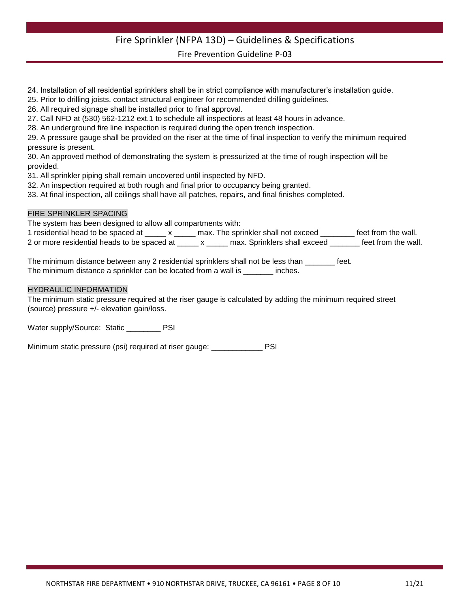# Fire Sprinkler (NFPA 13D) – Guidelines & Specifications

Fire Prevention Guideline P-03

- 24. Installation of all residential sprinklers shall be in strict compliance with manufacturer's installation guide.
- 25. Prior to drilling joists, contact structural engineer for recommended drilling guidelines.
- 26. All required signage shall be installed prior to final approval.
- 27. Call NFD at (530) 562-1212 ext.1 to schedule all inspections at least 48 hours in advance.
- 28. An underground fire line inspection is required during the open trench inspection.

29. A pressure gauge shall be provided on the riser at the time of final inspection to verify the minimum required pressure is present.

30. An approved method of demonstrating the system is pressurized at the time of rough inspection will be provided.

31. All sprinkler piping shall remain uncovered until inspected by NFD.

- 32. An inspection required at both rough and final prior to occupancy being granted.
- 33. At final inspection, all ceilings shall have all patches, repairs, and final finishes completed.

#### FIRE SPRINKLER SPACING

The system has been designed to allow all compartments with:

| 1 residential head to be spaced at          |  | max. The sprinkler shall not exceed | feet from the wall. |
|---------------------------------------------|--|-------------------------------------|---------------------|
| 2 or more residential heads to be spaced at |  | max. Sprinklers shall exceed        | feet from the wall. |

The minimum distance between any 2 residential sprinklers shall not be less than \_\_\_\_\_\_\_ feet. The minimum distance a sprinkler can be located from a wall is \_\_\_\_\_\_\_ inches.

#### HYDRAULIC INFORMATION

The minimum static pressure required at the riser gauge is calculated by adding the minimum required street (source) pressure +/- elevation gain/loss.

Water supply/Source: Static \_\_\_\_\_\_\_\_ PSI

Minimum static pressure (psi) required at riser gauge: PSI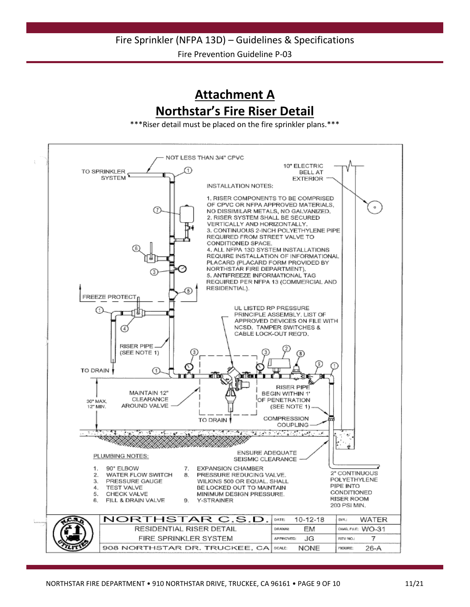**Attachment A Northstar's Fire Riser Detail**

\*\*\*Riser detail must be placed on the fire sprinkler plans.\*\*\*